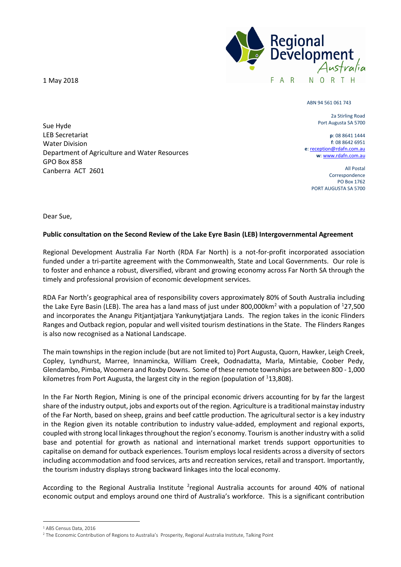1 May 2018

Sue Hyde LEB Secretariat Water Division

GPO Box 858

Canberra ACT 2601

Department of Agriculture and Water Resources



ABN 94 561 061 743

2a Stirling Road Port Augusta SA 5700

**p**: 08 8641 1444 **f**: 08 8642 6951 **e**: reception@rdafn.com.au **w**: www.rdafn.com.au

> All Postal Correspondence PO Box 1762 PORT AUGUSTA SA 5700

Dear Sue,

## **Public consultation on the Second Review of the Lake Eyre Basin (LEB) Intergovernmental Agreement**

Regional Development Australia Far North (RDA Far North) is a not-for-profit incorporated association funded under a tri-partite agreement with the Commonwealth, State and Local Governments. Our role is to foster and enhance a robust, diversified, vibrant and growing economy across Far North SA through the timely and professional provision of economic development services.

RDA Far North's geographical area of responsibility covers approximately 80% of South Australia including the Lake Eyre Basin (LEB). The area has a land mass of just under 800,000km<sup>2</sup> with a population of <sup>1</sup>27,500 and incorporates the Anangu Pitjantjatjara Yankunytjatjara Lands. The region takes in the iconic Flinders Ranges and Outback region, popular and well visited tourism destinations in the State. The Flinders Ranges is also now recognised as a National Landscape.

The main townships in the region include (but are not limited to) Port Augusta, Quorn, Hawker, Leigh Creek, Copley, Lyndhurst, Marree, Innamincka, William Creek, Oodnadatta, Marla, Mintabie, Coober Pedy, Glendambo, Pimba, Woomera and Roxby Downs. Some of these remote townships are between 800 - 1,000 kilometres from Port Augusta, the largest city in the region (population of  $113,808$ ).

In the Far North Region, Mining is one of the principal economic drivers accounting for by far the largest share of the industry output, jobs and exports out of the region. Agriculture is a traditional mainstay industry of the Far North, based on sheep, grains and beef cattle production. The agricultural sector is a key industry in the Region given its notable contribution to industry value-added, employment and regional exports, coupled with strong local linkages throughout the region's economy. Tourism is another industry with a solid base and potential for growth as national and international market trends support opportunities to capitalise on demand for outback experiences. Tourism employs local residents across a diversity of sectors including accommodation and food services, arts and recreation services, retail and transport. Importantly, the tourism industry displays strong backward linkages into the local economy.

According to the Regional Australia Institute <sup>2</sup>regional Australia accounts for around 40% of national economic output and employs around one third of Australia's workforce. This is a significant contribution

<sup>1</sup> ABS Census Data, 2016

<sup>2</sup> The Economic Contribution of Regions to Australia's Prosperity, Regional Australia Institute, Talking Point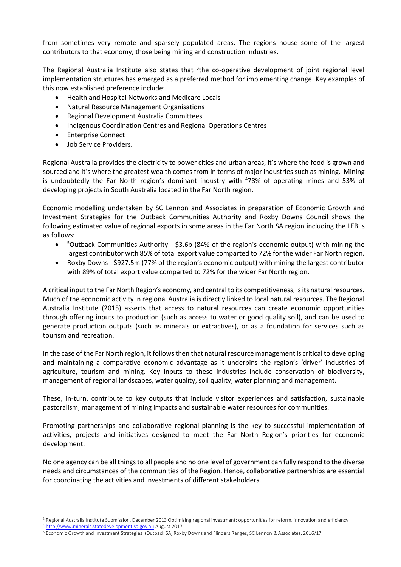from sometimes very remote and sparsely populated areas. The regions house some of the largest contributors to that economy, those being mining and construction industries.

The Regional Australia Institute also states that <sup>3</sup>the co-operative development of joint regional level implementation structures has emerged as a preferred method for implementing change. Key examples of this now established preference include:

- Health and Hospital Networks and Medicare Locals
- Natural Resource Management Organisations
- Regional Development Australia Committees
- Indigenous Coordination Centres and Regional Operations Centres
- Enterprise Connect
- Job Service Providers.

Regional Australia provides the electricity to power cities and urban areas, it's where the food is grown and sourced and it's where the greatest wealth comes from in terms of major industries such as mining. Mining is undoubtedly the Far North region's dominant industry with <sup>4</sup>78% of operating mines and 53% of developing projects in South Australia located in the Far North region.

Economic modelling undertaken by SC Lennon and Associates in preparation of Economic Growth and Investment Strategies for the Outback Communities Authority and Roxby Downs Council shows the following estimated value of regional exports in some areas in the Far North SA region including the LEB is as follows:

- $\bullet$ <sup>5</sup>Outback Communities Authority - \$3.6b (84% of the region's economic output) with mining the largest contributor with 85% of total export value comparted to 72% for the wider Far North region.
- Roxby Downs \$927.5m (77% of the region's economic output) with mining the largest contributor with 89% of total export value comparted to 72% for the wider Far North region.

A critical input to the Far North Region's economy, and central to its competitiveness, is its natural resources. Much of the economic activity in regional Australia is directly linked to local natural resources. The Regional Australia Institute (2015) asserts that access to natural resources can create economic opportunities through offering inputs to production (such as access to water or good quality soil), and can be used to generate production outputs (such as minerals or extractives), or as a foundation for services such as tourism and recreation.

In the case of the Far North region, it follows then that natural resource management is critical to developing and maintaining a comparative economic advantage as it underpins the region's 'driver' industries of agriculture, tourism and mining. Key inputs to these industries include conservation of biodiversity, management of regional landscapes, water quality, soil quality, water planning and management.

These, in-turn, contribute to key outputs that include visitor experiences and satisfaction, sustainable pastoralism, management of mining impacts and sustainable water resources for communities.

Promoting partnerships and collaborative regional planning is the key to successful implementation of activities, projects and initiatives designed to meet the Far North Region's priorities for economic development.

No one agency can be all things to all people and no one level of government can fully respond to the diverse needs and circumstances of the communities of the Region. Hence, collaborative partnerships are essential for coordinating the activities and investments of different stakeholders.

<sup>&</sup>lt;sup>3</sup> Regional Australia Institute Submission, December 2013 Optimising regional investment: opportunities for reform, innovation and efficiency

<sup>4</sup> http://www.minerals.statedevelopment.sa.gov.au August 2017

<sup>5</sup> Economic Growth and Investment Strategies (Outback SA, Roxby Downs and Flinders Ranges, SC Lennon & Associates, 2016/17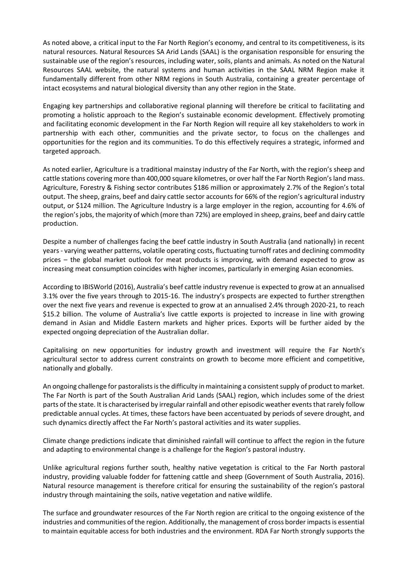As noted above, a critical input to the Far North Region's economy, and central to its competitiveness, is its natural resources. Natural Resources SA Arid Lands (SAAL) is the organisation responsible for ensuring the sustainable use of the region's resources, including water, soils, plants and animals. As noted on the Natural Resources SAAL website, the natural systems and human activities in the SAAL NRM Region make it fundamentally different from other NRM regions in South Australia, containing a greater percentage of intact ecosystems and natural biological diversity than any other region in the State.

Engaging key partnerships and collaborative regional planning will therefore be critical to facilitating and promoting a holistic approach to the Region's sustainable economic development. Effectively promoting and facilitating economic development in the Far North Region will require all key stakeholders to work in partnership with each other, communities and the private sector, to focus on the challenges and opportunities for the region and its communities. To do this effectively requires a strategic, informed and targeted approach.

As noted earlier, Agriculture is a traditional mainstay industry of the Far North, with the region's sheep and cattle stations covering more than 400,000 square kilometres, or over half the Far North Region's land mass. Agriculture, Forestry & Fishing sector contributes \$186 million or approximately 2.7% of the Region's total output. The sheep, grains, beef and dairy cattle sector accounts for 66% of the region's agricultural industry output, or \$124 million. The Agriculture Industry is a large employer in the region, accounting for 4.6% of the region's jobs, the majority of which (more than 72%) are employed in sheep, grains, beef and dairy cattle production.

Despite a number of challenges facing the beef cattle industry in South Australia (and nationally) in recent years - varying weather patterns, volatile operating costs, fluctuating turnoff rates and declining commodity prices – the global market outlook for meat products is improving, with demand expected to grow as increasing meat consumption coincides with higher incomes, particularly in emerging Asian economies.

According to IBISWorld (2016), Australia's beef cattle industry revenue is expected to grow at an annualised 3.1% over the five years through to 2015-16. The industry's prospects are expected to further strengthen over the next five years and revenue is expected to grow at an annualised 2.4% through 2020-21, to reach \$15.2 billion. The volume of Australia's live cattle exports is projected to increase in line with growing demand in Asian and Middle Eastern markets and higher prices. Exports will be further aided by the expected ongoing depreciation of the Australian dollar.

Capitalising on new opportunities for industry growth and investment will require the Far North's agricultural sector to address current constraints on growth to become more efficient and competitive, nationally and globally.

An ongoing challenge for pastoralists is the difficulty in maintaining a consistent supply of product to market. The Far North is part of the South Australian Arid Lands (SAAL) region, which includes some of the driest parts of the state. It is characterised by irregular rainfall and other episodic weather events that rarely follow predictable annual cycles. At times, these factors have been accentuated by periods of severe drought, and such dynamics directly affect the Far North's pastoral activities and its water supplies.

Climate change predictions indicate that diminished rainfall will continue to affect the region in the future and adapting to environmental change is a challenge for the Region's pastoral industry.

Unlike agricultural regions further south, healthy native vegetation is critical to the Far North pastoral industry, providing valuable fodder for fattening cattle and sheep (Government of South Australia, 2016). Natural resource management is therefore critical for ensuring the sustainability of the region's pastoral industry through maintaining the soils, native vegetation and native wildlife.

The surface and groundwater resources of the Far North region are critical to the ongoing existence of the industries and communities of the region. Additionally, the management of cross border impacts is essential to maintain equitable access for both industries and the environment. RDA Far North strongly supports the